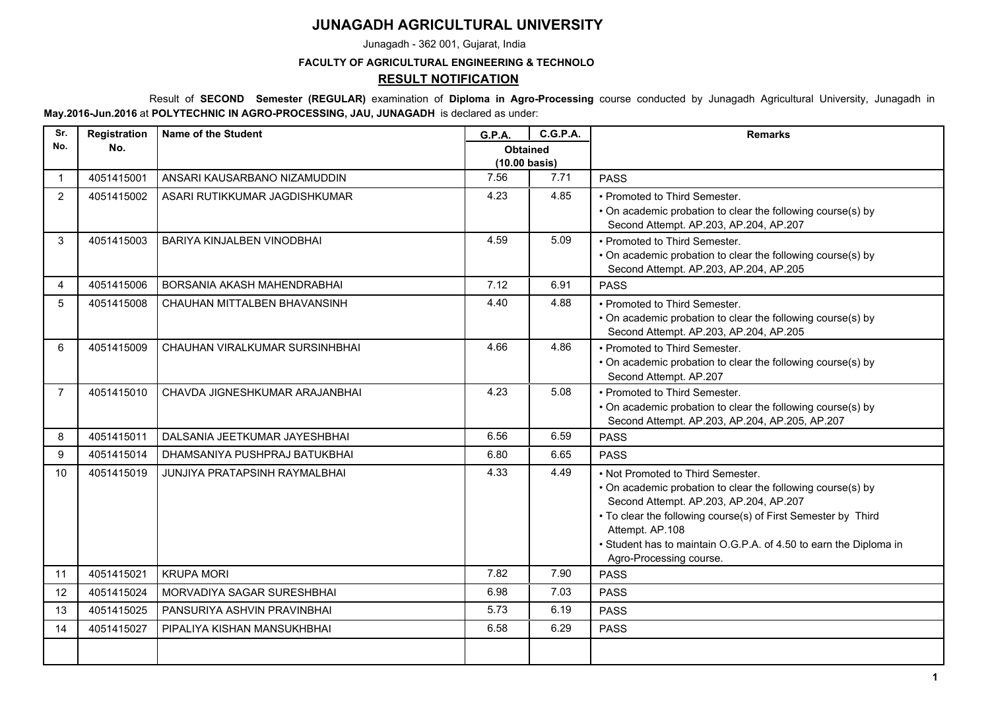## **JUNAGADH AGRICULTURAL UNIVERSITY**

Junagadh - 362 001, Gujarat, India

## **FACULTY OF AGRICULTURAL ENGINEERING & TECHNOLO**

## **RESULT NOTIFICATION**

 Result of **SECOND Semester (REGULAR)** examination of **Diploma in Agro-Processing** course conducted by Junagadh Agricultural University, Junagadh in **May.2016-Jun.2016** at **POLYTECHNIC IN AGRO-PROCESSING, JAU, JUNAGADH** is declared as under:

| Sr.            | Registration | <b>Name of the Student</b>           | G.P.A.                                     | <b>C.G.P.A.</b> | <b>Remarks</b>                                                                                                                                                                                                                                                                                                                 |
|----------------|--------------|--------------------------------------|--------------------------------------------|-----------------|--------------------------------------------------------------------------------------------------------------------------------------------------------------------------------------------------------------------------------------------------------------------------------------------------------------------------------|
| No.            | No.          |                                      | <b>Obtained</b><br>$(10.00 \text{ basis})$ |                 |                                                                                                                                                                                                                                                                                                                                |
| $\mathbf{1}$   | 4051415001   | ANSARI KAUSARBANO NIZAMUDDIN         | 7.56                                       | 7.71            | <b>PASS</b>                                                                                                                                                                                                                                                                                                                    |
| 2              | 4051415002   | ASARI RUTIKKUMAR JAGDISHKUMAR        | 4.23                                       | 4.85            | • Promoted to Third Semester.<br>• On academic probation to clear the following course(s) by<br>Second Attempt. AP.203, AP.204, AP.207                                                                                                                                                                                         |
| 3              | 4051415003   | <b>BARIYA KINJALBEN VINODBHAI</b>    | 4.59                                       | 5.09            | • Promoted to Third Semester.<br>• On academic probation to clear the following course(s) by<br>Second Attempt. AP.203, AP.204, AP.205                                                                                                                                                                                         |
| 4              | 4051415006   | BORSANIA AKASH MAHENDRABHAI          | 7.12                                       | 6.91            | <b>PASS</b>                                                                                                                                                                                                                                                                                                                    |
| 5              | 4051415008   | CHAUHAN MITTALBEN BHAVANSINH         | 4.40                                       | 4.88            | • Promoted to Third Semester.<br>• On academic probation to clear the following course(s) by<br>Second Attempt. AP.203, AP.204, AP.205                                                                                                                                                                                         |
| 6              | 4051415009   | CHAUHAN VIRALKUMAR SURSINHBHAI       | 4.66                                       | 4.86            | • Promoted to Third Semester.<br>• On academic probation to clear the following course(s) by<br>Second Attempt. AP.207                                                                                                                                                                                                         |
| $\overline{7}$ | 4051415010   | CHAVDA JIGNESHKUMAR ARAJANBHAI       | 4.23                                       | 5.08            | • Promoted to Third Semester.<br>• On academic probation to clear the following course(s) by<br>Second Attempt. AP.203, AP.204, AP.205, AP.207                                                                                                                                                                                 |
| 8              | 4051415011   | DALSANIA JEETKUMAR JAYESHBHAI        | 6.56                                       | 6.59            | <b>PASS</b>                                                                                                                                                                                                                                                                                                                    |
| 9              | 4051415014   | DHAMSANIYA PUSHPRAJ BATUKBHAI        | 6.80                                       | 6.65            | <b>PASS</b>                                                                                                                                                                                                                                                                                                                    |
| 10             | 4051415019   | <b>JUNJIYA PRATAPSINH RAYMALBHAI</b> | 4.33                                       | 4.49            | • Not Promoted to Third Semester.<br>• On academic probation to clear the following course(s) by<br>Second Attempt. AP.203, AP.204, AP.207<br>• To clear the following course(s) of First Semester by Third<br>Attempt. AP.108<br>• Student has to maintain O.G.P.A. of 4.50 to earn the Diploma in<br>Agro-Processing course. |
| 11             | 4051415021   | <b>KRUPA MORI</b>                    | 7.82                                       | 7.90            | <b>PASS</b>                                                                                                                                                                                                                                                                                                                    |
| 12             | 4051415024   | MORVADIYA SAGAR SURESHBHAI           | 6.98                                       | 7.03            | <b>PASS</b>                                                                                                                                                                                                                                                                                                                    |
| 13             | 4051415025   | PANSURIYA ASHVIN PRAVINBHAI          | 5.73                                       | 6.19            | <b>PASS</b>                                                                                                                                                                                                                                                                                                                    |
| 14             | 4051415027   | PIPALIYA KISHAN MANSUKHBHAI          | 6.58                                       | 6.29            | <b>PASS</b>                                                                                                                                                                                                                                                                                                                    |
|                |              |                                      |                                            |                 |                                                                                                                                                                                                                                                                                                                                |